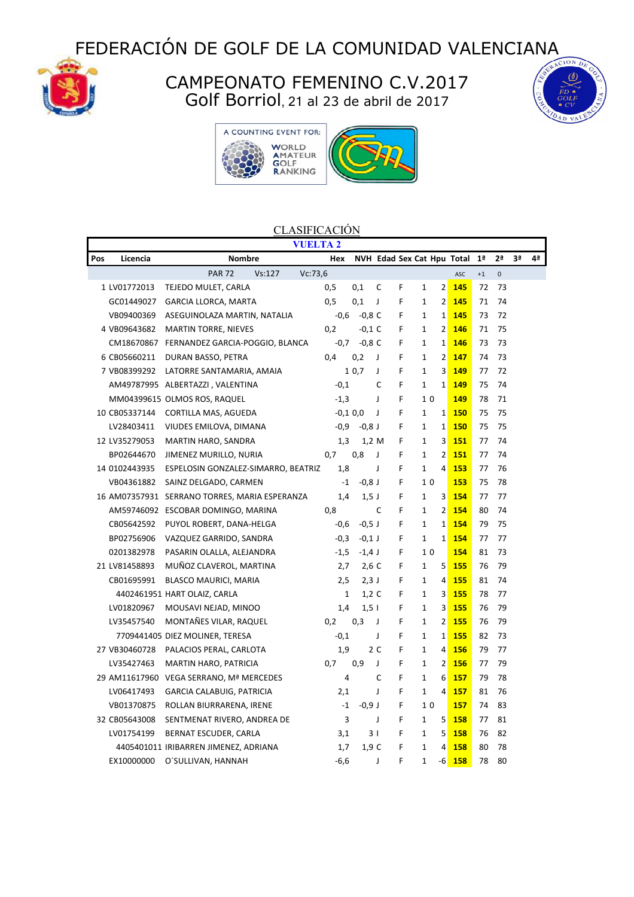FEDERACIÓN DE GOLF DE LA COMUNIDAD VALENCIANA



## CAMPEONATO FEMENINO C.V.2017 Golf Borriol, 21 al 23 de abril de 2017







## **CLASIFICACIÓN**

| <b>VUELTA 2</b> |               |                                               |                |              |                            |   |              |                |            |                |                |    |    |
|-----------------|---------------|-----------------------------------------------|----------------|--------------|----------------------------|---|--------------|----------------|------------|----------------|----------------|----|----|
| Pos             | Licencia      | <b>Nombre</b>                                 | Hex            |              | NVH Edad Sex Cat Hpu Total |   |              |                |            | 1 <sup>a</sup> | 2 <sup>a</sup> | 3ª | 4ª |
|                 |               | Vc:73,6<br><b>PAR 72</b><br>Vs: 127           |                |              |                            |   |              |                | ASC        | $+1$           | $\mathbf 0$    |    |    |
|                 | 1 LV01772013  | TEJEDO MULET, CARLA                           | 0,5            | 0,1          | C                          | F | 1            | $\overline{2}$ | 145        | 72             | 73             |    |    |
|                 | GC01449027    | <b>GARCIA LLORCA, MARTA</b>                   | 0,5            | 0,1          | J                          | F | 1            | $\overline{2}$ | 145        | 71             | 74             |    |    |
|                 | VB09400369    | ASEGUINOLAZA MARTIN, NATALIA                  | $-0,6$         | $-0,8$ C     |                            | F | $\mathbf{1}$ | $\mathbf{1}$   | 145        | 73             | 72             |    |    |
|                 | 4 VB09643682  | <b>MARTIN TORRE, NIEVES</b>                   | 0,2            | $-0,1$ C     |                            | F | 1            | $\overline{2}$ | 146        | 71             | 75             |    |    |
|                 | CM18670867    | FERNANDEZ GARCIA-POGGIO, BLANCA               | $-0,7$         | $-0,8$ C     |                            | F | $\mathbf{1}$ | $\mathbf{1}$   | 146        | 73             | 73             |    |    |
|                 | 6 CB05660211  | DURAN BASSO, PETRA                            | 0,4            | 0,2          | J                          | F | $\mathbf{1}$ | $\overline{2}$ | 147        | 74             | 73             |    |    |
|                 | 7 VB08399292  | LATORRE SANTAMARIA, AMAIA                     |                | 10,7         | J                          | F | 1            | 3              | 149        | 77             | 72             |    |    |
|                 |               | AM49787995 ALBERTAZZI, VALENTINA              | $-0,1$         |              | C                          | F | 1            | $\mathbf{1}$   | 149        | 75             | 74             |    |    |
|                 |               | MM04399615 OLMOS ROS, RAQUEL                  | $-1,3$         |              | J                          | F | 10           |                | 149        | 78             | 71             |    |    |
|                 | 10 CB05337144 | CORTILLA MAS, AGUEDA                          |                | $-0.1$ $0.0$ | J                          | F | $\mathbf{1}$ | 1              | <b>150</b> | 75             | 75             |    |    |
|                 | LV28403411    | VIUDES EMILOVA, DIMANA                        | $-0,9$         | $-0,8$ J     |                            | F | 1            | $\mathbf{1}$   | 150        | 75             | 75             |    |    |
|                 | 12 LV35279053 | MARTIN HARO, SANDRA                           | 1,3            | 1,2 M        |                            | F | 1            | 3              | 151        | 77             | 74             |    |    |
|                 | BP02644670    | JIMENEZ MURILLO, NURIA                        | 0,7            | 0,8          | J                          | F | 1            | $\overline{2}$ | <b>151</b> | 77             | 74             |    |    |
|                 | 14 0102443935 | ESPELOSIN GONZALEZ-SIMARRO, BEATRIZ           | 1,8            |              | J                          | F | $\mathbf{1}$ | 4              | 153        | 77             | 76             |    |    |
|                 | VB04361882    | SAINZ DELGADO, CARMEN                         | $-1$           | $-0,8$ J     |                            | F | 10           |                | 153        | 75             | 78             |    |    |
|                 |               | 16 AM07357931 SERRANO TORRES, MARIA ESPERANZA | 1,4            | $1,5$ J      |                            | F | $\mathbf{1}$ | 3              | 154        | 77             | 77             |    |    |
|                 |               | AM59746092 ESCOBAR DOMINGO, MARINA            | 0,8            |              | C                          | F | $\mathbf{1}$ | $\overline{2}$ | 154        | 80             | 74             |    |    |
|                 | CB05642592    | PUYOL ROBERT, DANA-HELGA                      | $-0,6$         | $-0,5$ J     |                            | F | 1            | $\mathbf{1}$   | 154        | 79             | 75             |    |    |
|                 | BP02756906    | VAZQUEZ GARRIDO, SANDRA                       | $-0,3$         | $-0,1$ J     |                            | F | 1            | $\mathbf{1}$   | 154        | 77             | 77             |    |    |
|                 | 0201382978    | PASARIN OLALLA, ALEJANDRA                     | $-1,5$         | $-1,4$ J     |                            | F | 10           |                | 154        | 81             | 73             |    |    |
|                 | 21 LV81458893 | MUÑOZ CLAVEROL, MARTINA                       | 2,7            | $2,6$ C      |                            | F | 1            | 5              | 155        | 76             | 79             |    |    |
|                 | CB01695991    | <b>BLASCO MAURICI, MARIA</b>                  | 2,5            | $2,3$ J      |                            | F | 1            | $\overline{4}$ | 155        | 81             | 74             |    |    |
|                 |               | 4402461951 HART OLAIZ, CARLA                  | 1              | $1,2$ C      |                            | F | 1            | 3              | 155        | 78             | 77             |    |    |
|                 | LV01820967    | MOUSAVI NEJAD, MINOO                          | 1,4            | $1,5$        |                            | F | 1            | 3              | 155        | 76             | 79             |    |    |
|                 | LV35457540    | MONTAÑES VILAR, RAQUEL                        | 0,2            | 0,3          | J                          | F | 1            | $\overline{2}$ | 155        | 76             | 79             |    |    |
|                 |               | 7709441405 DIEZ MOLINER, TERESA               | $-0,1$         |              | J                          | F | 1            | $\mathbf{1}$   | <b>155</b> | 82             | 73             |    |    |
|                 | 27 VB30460728 | PALACIOS PERAL, CARLOTA                       | 1,9            |              | 2 C                        | F | 1            | 4              | 156        | 79             | 77             |    |    |
|                 | LV35427463    | <b>MARTIN HARO, PATRICIA</b>                  | 0,7            | 0,9          | J                          | F | 1            | 2              | 156        | 77             | 79             |    |    |
|                 |               | 29 AM11617960 VEGA SERRANO, Mª MERCEDES       | $\overline{4}$ |              | C                          | F | 1            | 6              | 157        | 79             | 78             |    |    |
|                 | LV06417493    | GARCIA CALABUIG, PATRICIA                     | 2,1            |              | J                          | F | 1            | $\overline{a}$ | 157        | 81             | 76             |    |    |
|                 | VB01370875    | ROLLAN BIURRARENA, IRENE                      | $-1$           | $-0,9$ J     |                            | F | 10           |                | 157        | 74             | 83             |    |    |
|                 | 32 CB05643008 | SENTMENAT RIVERO, ANDREA DE                   | 3              |              | J                          | F | 1            | 5              | 158        | 77             | 81             |    |    |
|                 | LV01754199    | BERNAT ESCUDER, CARLA                         | 3,1            | 31           |                            | F | 1            | 5              | 158        | 76             | 82             |    |    |
|                 |               | 4405401011 IRIBARREN JIMENEZ, ADRIANA         | 1,7            | 1,9C         |                            | F | $\mathbf{1}$ | 4              | 158        | 80             | 78             |    |    |
|                 | EX10000000    | O'SULLIVAN, HANNAH                            | $-6,6$         |              | J                          | F | $\mathbf{1}$ | -6             | 158        | 78             | 80             |    |    |